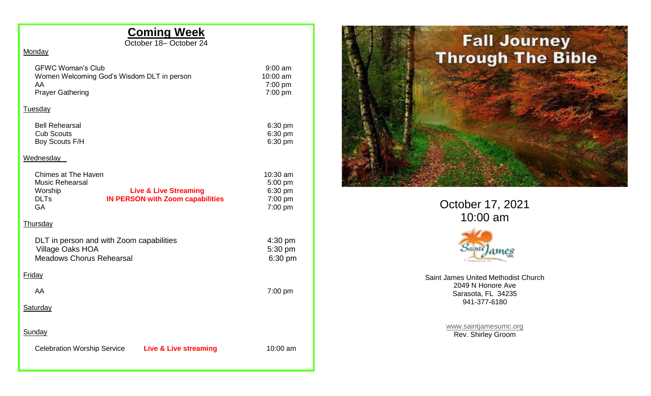## **Coming Week**

October 18– October 24

## **Monday**

| <b>GFWC Woman's Club</b><br>Women Welcoming God's Wisdom DLT in person<br>AA                                                                                               | $9:00$ am<br>10:00 am<br>7:00 pm                     |
|----------------------------------------------------------------------------------------------------------------------------------------------------------------------------|------------------------------------------------------|
| <b>Prayer Gathering</b>                                                                                                                                                    | 7:00 pm                                              |
| <b>Tuesday</b>                                                                                                                                                             |                                                      |
| <b>Bell Rehearsal</b><br><b>Cub Scouts</b><br>Boy Scouts F/H                                                                                                               | 6:30 pm<br>6:30 pm<br>6:30 pm                        |
| Wednesday                                                                                                                                                                  |                                                      |
| <b>Chimes at The Haven</b><br><b>Music Rehearsal</b><br>Worship<br><b>Live &amp; Live Streaming</b><br><b>DLTs</b><br><b>IN PERSON with Zoom capabilities</b><br><b>GA</b> | 10:30 am<br>5:00 pm<br>6:30 pm<br>7:00 pm<br>7:00 pm |
| Thursday                                                                                                                                                                   |                                                      |
| DLT in person and with Zoom capabilities<br><b>Village Oaks HOA</b><br><b>Meadows Chorus Rehearsal</b>                                                                     | $4:30 \text{ pm}$<br>5:30 pm<br>6:30 pm              |
| <b>Friday</b>                                                                                                                                                              |                                                      |
| AA                                                                                                                                                                         | $7:00$ pm                                            |
| <b>Saturday</b>                                                                                                                                                            |                                                      |
| Sunday                                                                                                                                                                     |                                                      |
| <b>Celebration Worship Service</b><br><b>Live &amp; Live streaming</b>                                                                                                     | $10:00$ am                                           |



October 17, 2021 10:00 am



Saint James United Methodist Church 2049 N Honore Ave Sarasota, FL 34235 941-377-6180

> [www.saintjamesumc.org](http://www.saintjamesumc.org/) Rev. Shirley Groom